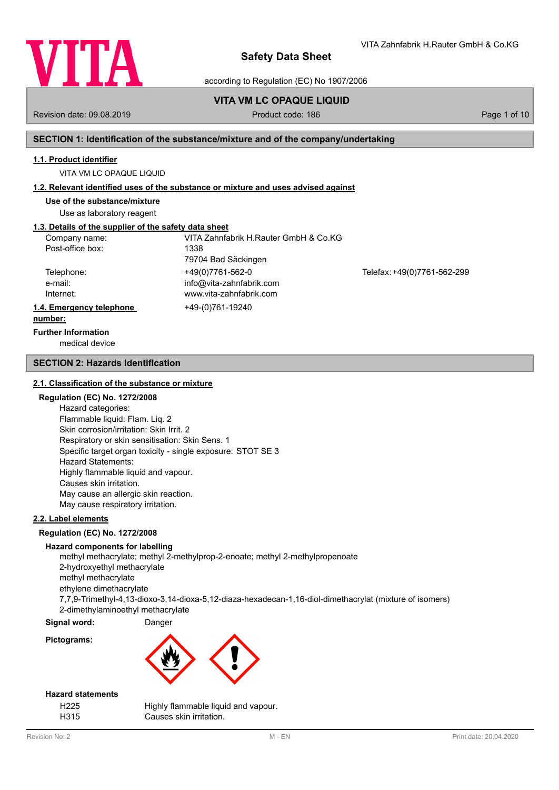

according to Regulation (EC) No 1907/2006

# **VITA VM LC OPAQUE LIQUID**

Revision date: 09.08.2019 **Product code: 186** Page 1 of 10

VITA Zahnfabrik H.Rauter GmbH & Co.KG

## **SECTION 1: Identification of the substance/mixture and of the company/undertaking**

### **1.1. Product identifier**

VITA VM LC OPAQUE LIQUID

## **1.2. Relevant identified uses of the substance or mixture and uses advised against**

**Use of the substance/mixture**

Use as laboratory reagent

# **1.3. Details of the supplier of the safety data sheet**

| Company name:            | VITA Zahnfabrik H.Rauter GmbH & Co.KG |                             |
|--------------------------|---------------------------------------|-----------------------------|
| Post-office box:         | 1338                                  |                             |
|                          | 79704 Bad Säckingen                   |                             |
| Telephone:               | +49(0)7761-562-0                      | Telefax: +49(0)7761-562-299 |
| e-mail:                  | info@vita-zahnfabrik.com              |                             |
| Internet:                | www.vita-zahnfabrik.com               |                             |
| 1.4. Emergency telephone | +49-(0)761-19240                      |                             |
| numhar <sup>.</sup>      |                                       |                             |

## **number:**

medical device **Further Information**

## **SECTION 2: Hazards identification**

### **2.1. Classification of the substance or mixture**

## **Regulation (EC) No. 1272/2008**

Hazard categories: Flammable liquid: Flam. Liq. 2 Skin corrosion/irritation: Skin Irrit. 2 Respiratory or skin sensitisation: Skin Sens. 1 Specific target organ toxicity - single exposure: STOT SE 3 Hazard Statements: Highly flammable liquid and vapour. Causes skin irritation. May cause an allergic skin reaction. May cause respiratory irritation.

## **2.2. Label elements**

### **Regulation (EC) No. 1272/2008**

### **Hazard components for labelling**

methyl methacrylate; methyl 2-methylprop-2-enoate; methyl 2-methylpropenoate 2-hydroxyethyl methacrylate methyl methacrylate ethylene dimethacrylate 7,7,9-Trimethyl-4,13-dioxo-3,14-dioxa-5,12-diaza-hexadecan-1,16-diol-dimethacrylat (mixture of isomers) 2-dimethylaminoethyl methacrylate

## **Signal word:** Danger

**Pictograms:**



## **Hazard statements**

| H <sub>225</sub> | Highly flammable liquid and vapour. |
|------------------|-------------------------------------|
| H315             | Causes skin irritation.             |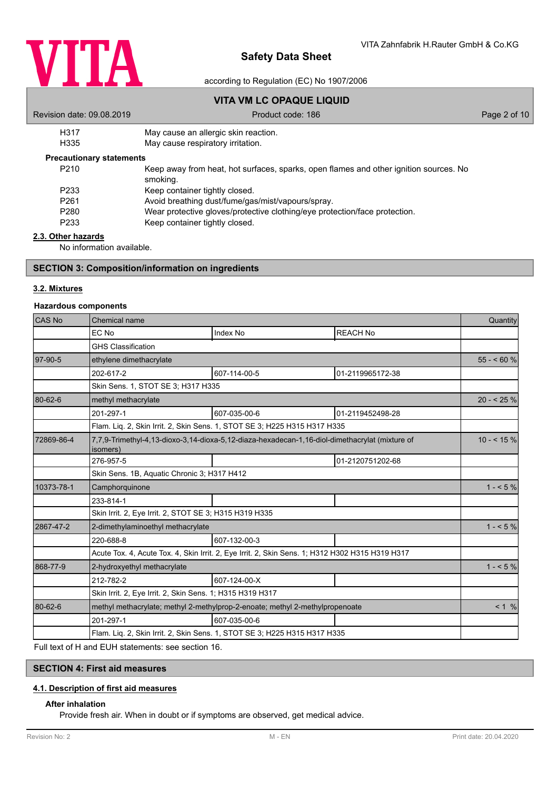

according to Regulation (EC) No 1907/2006

# **VITA VM LC OPAQUE LIQUID**

| Revision date: 09.08.2019       | Product code: 186                                                                                 | Page 2 of 10 |
|---------------------------------|---------------------------------------------------------------------------------------------------|--------------|
| H317                            | May cause an allergic skin reaction.                                                              |              |
| H335                            | May cause respiratory irritation.                                                                 |              |
| <b>Precautionary statements</b> |                                                                                                   |              |
| P <sub>210</sub>                | Keep away from heat, hot surfaces, sparks, open flames and other ignition sources. No<br>smoking. |              |
| P <sub>233</sub>                | Keep container tightly closed.                                                                    |              |

- P261 Avoid breathing dust/fume/gas/mist/vapours/spray.<br>P280 Mear protective gloves/protective clothing/eve protective
- P280 Wear protective gloves/protective clothing/eye protection/face protection.<br>P233 Keep container tightly closed.
- Keep container tightly closed.

## **2.3. Other hazards**

No information available.

## **SECTION 3: Composition/information on ingredients**

## **3.2. Mixtures**

## **Hazardous components**

| CAS No     | Chemical name                                             |                                                                                                 |                  | Quantity   |  |  |
|------------|-----------------------------------------------------------|-------------------------------------------------------------------------------------------------|------------------|------------|--|--|
|            | EC No                                                     | Index No                                                                                        | <b>REACH No</b>  |            |  |  |
|            | <b>GHS Classification</b>                                 |                                                                                                 |                  |            |  |  |
| 97-90-5    | ethylene dimethacrylate                                   |                                                                                                 |                  | $55 - 60%$ |  |  |
|            | 202-617-2                                                 | 607-114-00-5                                                                                    | 01-2119965172-38 |            |  |  |
|            | Skin Sens. 1, STOT SE 3; H317 H335                        |                                                                                                 |                  |            |  |  |
| 80-62-6    | methyl methacrylate                                       |                                                                                                 |                  | $20 - 25%$ |  |  |
|            | 201-297-1                                                 | 607-035-00-6                                                                                    | 01-2119452498-28 |            |  |  |
|            |                                                           | Flam. Lig. 2, Skin Irrit. 2, Skin Sens. 1, STOT SE 3; H225 H315 H317 H335                       |                  |            |  |  |
| 72869-86-4 | isomers)                                                  | 7,7,9-Trimethyl-4,13-dioxo-3,14-dioxa-5,12-diaza-hexadecan-1,16-diol-dimethacrylat (mixture of  |                  | $10 - 5\%$ |  |  |
|            | 276-957-5                                                 |                                                                                                 | 01-2120751202-68 |            |  |  |
|            | Skin Sens. 1B, Aquatic Chronic 3; H317 H412               |                                                                                                 |                  |            |  |  |
| 10373-78-1 | Camphorquinone                                            |                                                                                                 |                  |            |  |  |
|            | 233-814-1                                                 |                                                                                                 |                  |            |  |  |
|            | Skin Irrit. 2, Eye Irrit. 2, STOT SE 3; H315 H319 H335    |                                                                                                 |                  |            |  |  |
| 2867-47-2  | 2-dimethylaminoethyl methacrylate                         |                                                                                                 |                  | $1 - 5\%$  |  |  |
|            | 220-688-8                                                 | 607-132-00-3                                                                                    |                  |            |  |  |
|            |                                                           | Acute Tox. 4, Acute Tox. 4, Skin Irrit. 2, Eye Irrit. 2, Skin Sens. 1; H312 H302 H315 H319 H317 |                  |            |  |  |
| 868-77-9   | 2-hydroxyethyl methacrylate                               |                                                                                                 |                  | $1 - 5\%$  |  |  |
|            | 212-782-2                                                 | 607-124-00-X                                                                                    |                  |            |  |  |
|            | Skin Irrit. 2, Eye Irrit. 2, Skin Sens. 1; H315 H319 H317 |                                                                                                 |                  |            |  |  |
| 80-62-6    |                                                           | methyl methacrylate; methyl 2-methylprop-2-enoate; methyl 2-methylpropenoate                    |                  | < 1 %      |  |  |
|            | 201-297-1                                                 | 607-035-00-6                                                                                    |                  |            |  |  |
|            |                                                           | Flam. Liq. 2, Skin Irrit. 2, Skin Sens. 1, STOT SE 3; H225 H315 H317 H335                       |                  |            |  |  |

Full text of H and EUH statements: see section 16.

## **SECTION 4: First aid measures**

### **4.1. Description of first aid measures**

## **After inhalation**

Provide fresh air. When in doubt or if symptoms are observed, get medical advice.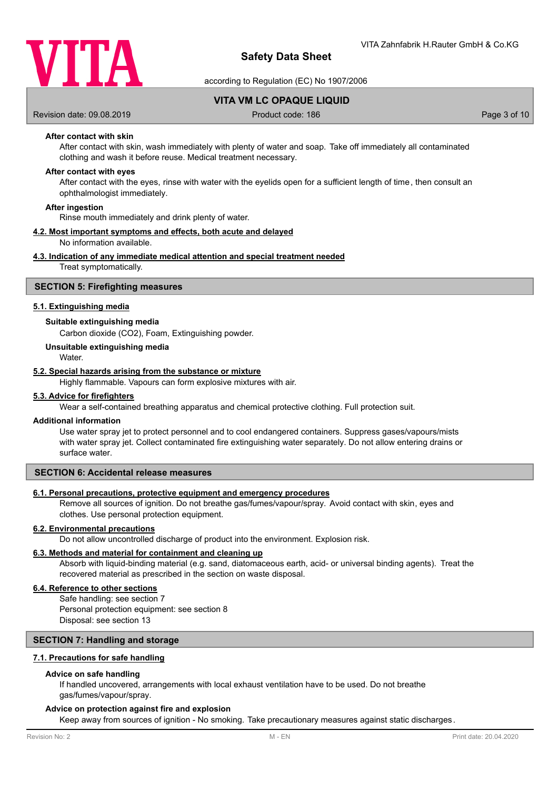

according to Regulation (EC) No 1907/2006

**VITA VM LC OPAQUE LIQUID**

Revision date: 09.08.2019 **Product code: 186** Page 3 of 10

## **After contact with skin**

After contact with skin, wash immediately with plenty of water and soap. Take off immediately all contaminated clothing and wash it before reuse. Medical treatment necessary.

### **After contact with eyes**

After contact with the eyes, rinse with water with the eyelids open for a sufficient length of time, then consult an ophthalmologist immediately.

#### **After ingestion**

Rinse mouth immediately and drink plenty of water.

## **4.2. Most important symptoms and effects, both acute and delayed**

No information available.

### **4.3. Indication of any immediate medical attention and special treatment needed**

Treat symptomatically.

### **SECTION 5: Firefighting measures**

### **5.1. Extinguishing media**

### **Suitable extinguishing media**

Carbon dioxide (CO2), Foam, Extinguishing powder.

## **Unsuitable extinguishing media**

**Water** 

### **5.2. Special hazards arising from the substance or mixture**

Highly flammable. Vapours can form explosive mixtures with air.

#### **5.3. Advice for firefighters**

Wear a self-contained breathing apparatus and chemical protective clothing. Full protection suit.

#### **Additional information**

Use water spray jet to protect personnel and to cool endangered containers. Suppress gases/vapours/mists with water spray jet. Collect contaminated fire extinguishing water separately. Do not allow entering drains or surface water.

## **SECTION 6: Accidental release measures**

### **6.1. Personal precautions, protective equipment and emergency procedures**

Remove all sources of ignition. Do not breathe gas/fumes/vapour/spray. Avoid contact with skin, eyes and clothes. Use personal protection equipment.

### **6.2. Environmental precautions**

Do not allow uncontrolled discharge of product into the environment. Explosion risk.

## **6.3. Methods and material for containment and cleaning up**

Absorb with liquid-binding material (e.g. sand, diatomaceous earth, acid- or universal binding agents). Treat the recovered material as prescribed in the section on waste disposal.

## **6.4. Reference to other sections**

Safe handling: see section 7 Personal protection equipment: see section 8 Disposal: see section 13

### **SECTION 7: Handling and storage**

### **7.1. Precautions for safe handling**

### **Advice on safe handling**

If handled uncovered, arrangements with local exhaust ventilation have to be used. Do not breathe gas/fumes/vapour/spray.

## **Advice on protection against fire and explosion**

Keep away from sources of ignition - No smoking. Take precautionary measures against static discharges.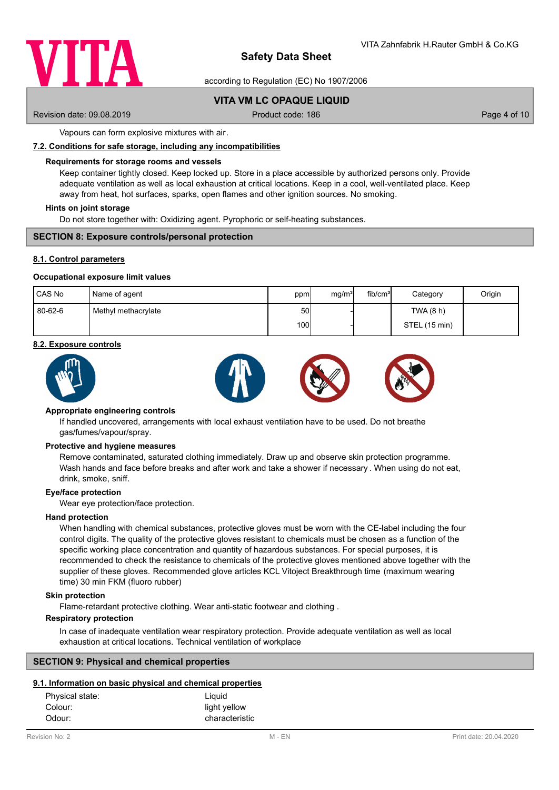

according to Regulation (EC) No 1907/2006

## **VITA VM LC OPAQUE LIQUID**

Revision date: 09.08.2019 **Product code: 186** Page 4 of 10

Vapours can form explosive mixtures with air.

### **7.2. Conditions for safe storage, including any incompatibilities**

### **Requirements for storage rooms and vessels**

Keep container tightly closed. Keep locked up. Store in a place accessible by authorized persons only. Provide adequate ventilation as well as local exhaustion at critical locations. Keep in a cool, well-ventilated place. Keep away from heat, hot surfaces, sparks, open flames and other ignition sources. No smoking.

### **Hints on joint storage**

Do not store together with: Oxidizing agent. Pyrophoric or self-heating substances.

### **SECTION 8: Exposure controls/personal protection**

### **8.1. Control parameters**

### **Occupational exposure limit values**

| CAS No  | Name of agent       | ppm  | mg/m <sup>3</sup> | fib/cm <sup>3</sup> | Category      | Origin |
|---------|---------------------|------|-------------------|---------------------|---------------|--------|
| 80-62-6 | Methyl methacrylate | 50   |                   |                     | TWA(8 h)      |        |
|         |                     | 100l |                   |                     | STEL (15 min) |        |

### **8.2. Exposure controls**





### **Appropriate engineering controls**

If handled uncovered, arrangements with local exhaust ventilation have to be used. Do not breathe gas/fumes/vapour/spray.

#### **Protective and hygiene measures**

Remove contaminated, saturated clothing immediately. Draw up and observe skin protection programme. Wash hands and face before breaks and after work and take a shower if necessary . When using do not eat, drink, smoke, sniff.

#### **Eye/face protection**

Wear eye protection/face protection.

### **Hand protection**

When handling with chemical substances, protective gloves must be worn with the CE-label including the four control digits. The quality of the protective gloves resistant to chemicals must be chosen as a function of the specific working place concentration and quantity of hazardous substances. For special purposes, it is recommended to check the resistance to chemicals of the protective gloves mentioned above together with the supplier of these gloves. Recommended glove articles KCL Vitoject Breakthrough time (maximum wearing time) 30 min FKM (fluoro rubber)

### **Skin protection**

Flame-retardant protective clothing. Wear anti-static footwear and clothing .

## **Respiratory protection**

In case of inadequate ventilation wear respiratory protection. Provide adequate ventilation as well as local exhaustion at critical locations. Technical ventilation of workplace

### **SECTION 9: Physical and chemical properties**

## **9.1. Information on basic physical and chemical properties**

| Physical state: | Liguid         |
|-----------------|----------------|
| Colour:         | light yellow   |
| Odour:          | characteristic |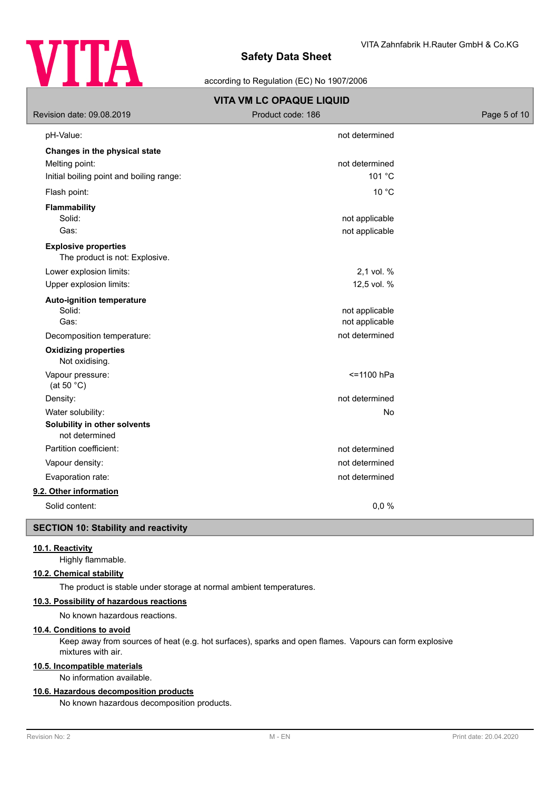

according to Regulation (EC) No 1907/2006

| Revision date: 09.08.2019                                     | <b>VITA VM LC OPAQUE LIQUID</b><br>Product code: 186 | Page 5 of 10 |
|---------------------------------------------------------------|------------------------------------------------------|--------------|
| pH-Value:                                                     | not determined                                       |              |
| Changes in the physical state                                 |                                                      |              |
| Melting point:                                                | not determined                                       |              |
| Initial boiling point and boiling range:                      | 101 °C                                               |              |
| Flash point:                                                  | 10 °C                                                |              |
| <b>Flammability</b><br>Solid:                                 | not applicable                                       |              |
| Gas:                                                          | not applicable                                       |              |
| <b>Explosive properties</b><br>The product is not: Explosive. |                                                      |              |
| Lower explosion limits:                                       | 2,1 vol. %                                           |              |
| Upper explosion limits:                                       | 12,5 vol. %                                          |              |
| <b>Auto-ignition temperature</b><br>Solid:<br>Gas:            | not applicable<br>not applicable                     |              |
| Decomposition temperature:                                    | not determined                                       |              |
| <b>Oxidizing properties</b><br>Not oxidising.                 |                                                      |              |
| Vapour pressure:<br>(at 50 $°C$ )                             | <= 1100 hPa                                          |              |
| Density:                                                      | not determined                                       |              |
| Water solubility:                                             | No                                                   |              |
| Solubility in other solvents<br>not determined                |                                                      |              |
| Partition coefficient:                                        | not determined                                       |              |
| Vapour density:                                               | not determined                                       |              |
| Evaporation rate:                                             | not determined                                       |              |
| 9.2. Other information                                        |                                                      |              |
| Solid content:                                                | 0,0%                                                 |              |
| <b>SECTION 10: Stability and reactivity</b>                   |                                                      |              |

## **10.1. Reactivity**

Highly flammable.

# **10.2. Chemical stability**

The product is stable under storage at normal ambient temperatures.

## **10.3. Possibility of hazardous reactions**

No known hazardous reactions.

# **10.4. Conditions to avoid**

Keep away from sources of heat (e.g. hot surfaces), sparks and open flames. Vapours can form explosive mixtures with air.

## **10.5. Incompatible materials**

No information available.

## **10.6. Hazardous decomposition products**

No known hazardous decomposition products.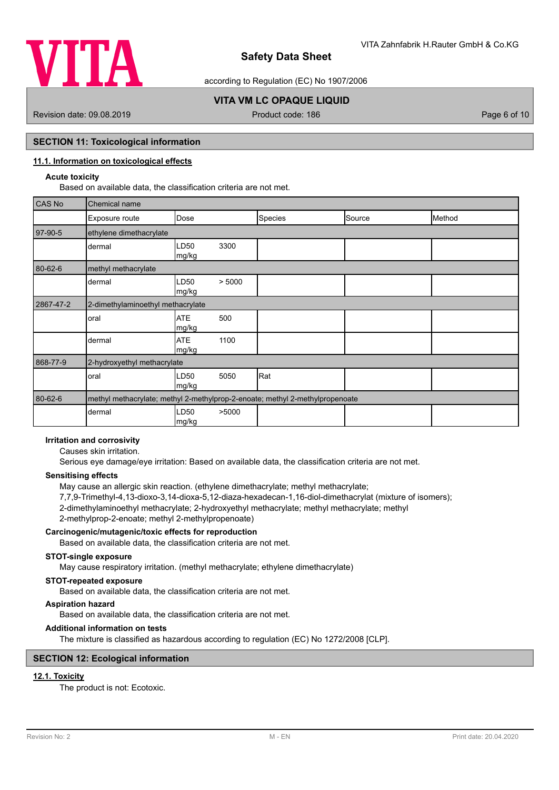

according to Regulation (EC) No 1907/2006

# **VITA VM LC OPAQUE LIQUID**

Revision date: 09.08.2019 **Product code: 186** Page 6 of 10

## **SECTION 11: Toxicological information**

## **11.1. Information on toxicological effects**

## **Acute toxicity**

Based on available data, the classification criteria are not met.

| <b>CAS No</b> | Chemical name                                                                |                     |        |         |        |        |
|---------------|------------------------------------------------------------------------------|---------------------|--------|---------|--------|--------|
|               | Exposure route                                                               | Dose                |        | Species | Source | Method |
| 97-90-5       | ethylene dimethacrylate                                                      |                     |        |         |        |        |
|               | dermal                                                                       | LD50<br>mg/kg       | 3300   |         |        |        |
| 80-62-6       | methyl methacrylate                                                          |                     |        |         |        |        |
|               | dermal                                                                       | LD50<br>mg/kg       | > 5000 |         |        |        |
| 2867-47-2     | 2-dimethylaminoethyl methacrylate                                            |                     |        |         |        |        |
|               | oral                                                                         | <b>ATE</b><br>mg/kg | 500    |         |        |        |
|               | dermal                                                                       | <b>ATE</b><br>mg/kg | 1100   |         |        |        |
| 868-77-9      | 2-hydroxyethyl methacrylate                                                  |                     |        |         |        |        |
|               | oral                                                                         | LD50<br>mg/kg       | 5050   | Rat     |        |        |
| 80-62-6       | methyl methacrylate; methyl 2-methylprop-2-enoate; methyl 2-methylpropenoate |                     |        |         |        |        |
|               | dermal                                                                       | LD50<br>mg/kg       | >5000  |         |        |        |

# **Irritation and corrosivity**

Causes skin irritation.

Serious eye damage/eye irritation: Based on available data, the classification criteria are not met.

### **Sensitising effects**

May cause an allergic skin reaction. (ethylene dimethacrylate; methyl methacrylate; 7,7,9-Trimethyl-4,13-dioxo-3,14-dioxa-5,12-diaza-hexadecan-1,16-diol-dimethacrylat (mixture of isomers); 2-dimethylaminoethyl methacrylate; 2-hydroxyethyl methacrylate; methyl methacrylate; methyl 2-methylprop-2-enoate; methyl 2-methylpropenoate)

## **Carcinogenic/mutagenic/toxic effects for reproduction**

Based on available data, the classification criteria are not met.

## **STOT-single exposure**

May cause respiratory irritation. (methyl methacrylate; ethylene dimethacrylate)

### **STOT-repeated exposure**

Based on available data, the classification criteria are not met.

# **Aspiration hazard**

Based on available data, the classification criteria are not met.

## **Additional information on tests**

The mixture is classified as hazardous according to regulation (EC) No 1272/2008 [CLP].

## **SECTION 12: Ecological information**

## **12.1. Toxicity**

The product is not: Ecotoxic.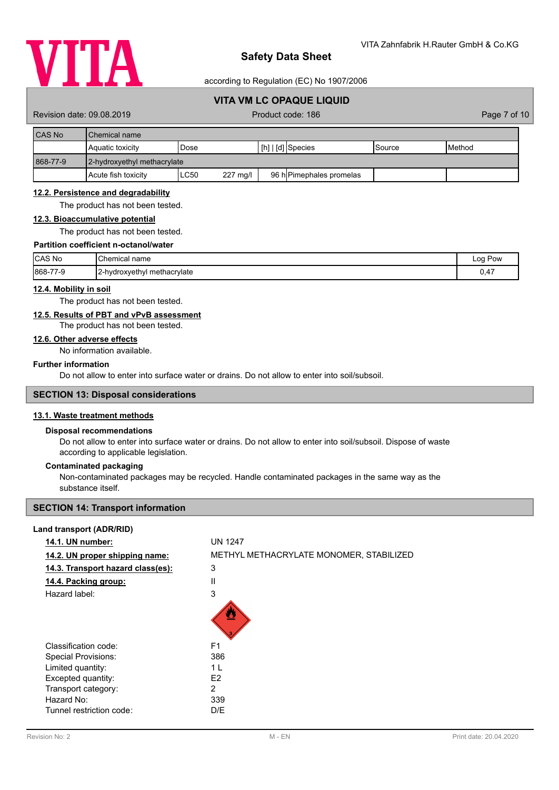

according to Regulation (EC) No 1907/2006

# **VITA VM LC OPAQUE LIQUID**

Revision date: 09.08.2019 **Product code: 186** Page 7 of 10

| CAS No   | <b>I</b> Chemical name      |                         |                                     |                 |                 |  |  |
|----------|-----------------------------|-------------------------|-------------------------------------|-----------------|-----------------|--|--|
|          | <b>Aquatic toxicity</b>     | Dose                    | $\lfloor$ [h] $\rfloor$ [d] Species | <b>I</b> Source | <b>I</b> Method |  |  |
| 868-77-9 | 2-hydroxyethyl methacrylate |                         |                                     |                 |                 |  |  |
|          | Acute fish toxicity         | <b>LC50</b><br>227 mg/l | 96 h Pimephales promelas            |                 |                 |  |  |

## **12.2. Persistence and degradability**

The product has not been tested.

### **12.3. Bioaccumulative potential**

The product has not been tested.

## **Partition coefficient n-octanol/water**

| <b>CAS No</b> | Chemical<br>name            | Pow<br>Log |
|---------------|-----------------------------|------------|
| 868-77-9      | 2-hydroxyethyl methacrylate | 0,47       |

### **12.4. Mobility in soil**

The product has not been tested.

## **12.5. Results of PBT and vPvB assessment**

## The product has not been tested.

# **12.6. Other adverse effects**

No information available.

## **Further information**

Do not allow to enter into surface water or drains. Do not allow to enter into soil/subsoil.

## **SECTION 13: Disposal considerations**

## **13.1. Waste treatment methods**

### **Disposal recommendations**

Do not allow to enter into surface water or drains. Do not allow to enter into soil/subsoil. Dispose of waste according to applicable legislation.

### **Contaminated packaging**

Non-contaminated packages may be recycled. Handle contaminated packages in the same way as the substance itself.

## **SECTION 14: Transport information**

### **Land transport (ADR/RID)**

| 14.1. UN number:                  | <b>UN 1247</b>                          |
|-----------------------------------|-----------------------------------------|
| 14.2. UN proper shipping name:    | METHYL METHACRYLATE MONOMER, STABILIZED |
| 14.3. Transport hazard class(es): | 3                                       |
| 14.4. Packing group:              | Ш                                       |
| Hazard label:                     | 3                                       |
|                                   |                                         |
| Classification code:              | F <sub>1</sub>                          |
| <b>Special Provisions:</b>        | 386                                     |
| Limited quantity:                 | 1 L                                     |
| Excepted quantity:                | E <sub>2</sub>                          |
| Transport category:               | 2                                       |
| Hazard No:                        | 339                                     |
| Tunnel restriction code:          | D/E                                     |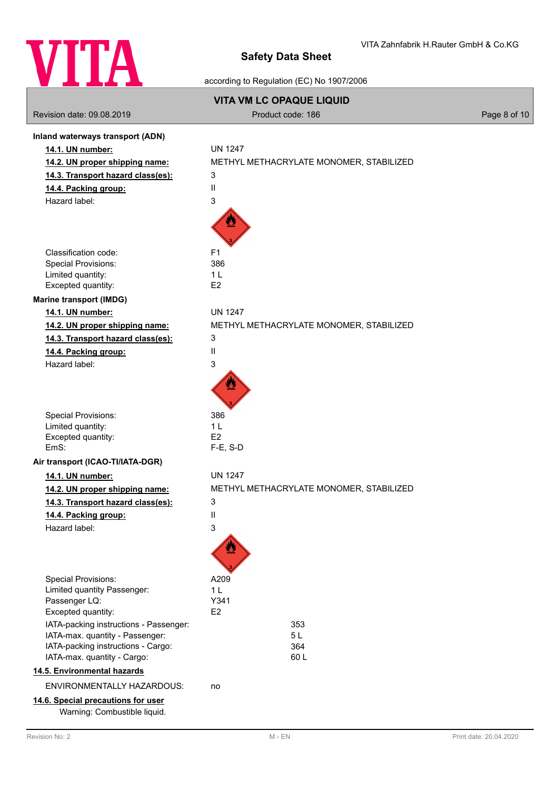

according to Regulation (EC) No 1907/2006

| Revision date: 09.08.2019                                                                                                                      | <b>VITA VM LC OPAQUE LIQUID</b><br>Product code: 186 | Page 8 of 10 |
|------------------------------------------------------------------------------------------------------------------------------------------------|------------------------------------------------------|--------------|
| Inland waterways transport (ADN)                                                                                                               |                                                      |              |
| 14.1. UN number:                                                                                                                               | <b>UN 1247</b>                                       |              |
| 14.2. UN proper shipping name:                                                                                                                 | METHYL METHACRYLATE MONOMER, STABILIZED              |              |
| 14.3. Transport hazard class(es):                                                                                                              | 3                                                    |              |
| 14.4. Packing group:                                                                                                                           | $\mathbf{I}$                                         |              |
| Hazard label:                                                                                                                                  | 3                                                    |              |
|                                                                                                                                                |                                                      |              |
| Classification code:                                                                                                                           | F <sub>1</sub>                                       |              |
| <b>Special Provisions:</b>                                                                                                                     | 386                                                  |              |
| Limited quantity:<br>Excepted quantity:                                                                                                        | 1 <sub>L</sub><br>E2                                 |              |
| <b>Marine transport (IMDG)</b>                                                                                                                 |                                                      |              |
| 14.1. UN number:                                                                                                                               | <b>UN 1247</b>                                       |              |
| 14.2. UN proper shipping name:                                                                                                                 | METHYL METHACRYLATE MONOMER, STABILIZED              |              |
| 14.3. Transport hazard class(es):                                                                                                              | 3                                                    |              |
| 14.4. Packing group:                                                                                                                           | $\mathbf{I}$                                         |              |
| Hazard label:                                                                                                                                  | 3                                                    |              |
| <b>Special Provisions:</b><br>Limited quantity:<br>Excepted quantity:                                                                          | 386<br>1 <sub>L</sub><br>E <sub>2</sub>              |              |
| EmS:                                                                                                                                           | $F-E$ , S-D                                          |              |
| Air transport (ICAO-TI/IATA-DGR)                                                                                                               |                                                      |              |
| 14.1. UN number:                                                                                                                               | <b>UN 1247</b>                                       |              |
| 14.2. UN proper shipping name:                                                                                                                 | METHYL METHACRYLATE MONOMER, STABILIZED              |              |
| 14.3. Transport hazard class(es):                                                                                                              | 3                                                    |              |
| 14.4. Packing group:                                                                                                                           | Ш                                                    |              |
| Hazard label:                                                                                                                                  | 3                                                    |              |
| <b>Special Provisions:</b>                                                                                                                     | A209                                                 |              |
| Limited quantity Passenger:                                                                                                                    | 1 <sub>L</sub>                                       |              |
| Passenger LQ:                                                                                                                                  | Y341                                                 |              |
| Excepted quantity:                                                                                                                             | E <sub>2</sub>                                       |              |
| IATA-packing instructions - Passenger:<br>IATA-max. quantity - Passenger:<br>IATA-packing instructions - Cargo:<br>IATA-max. quantity - Cargo: | 353<br>5L<br>364<br>60L                              |              |
| 14.5. Environmental hazards                                                                                                                    |                                                      |              |
| <b>ENVIRONMENTALLY HAZARDOUS:</b>                                                                                                              | no                                                   |              |
| 14.6. Special precautions for user                                                                                                             |                                                      |              |
| Warning: Combustible liquid.                                                                                                                   |                                                      |              |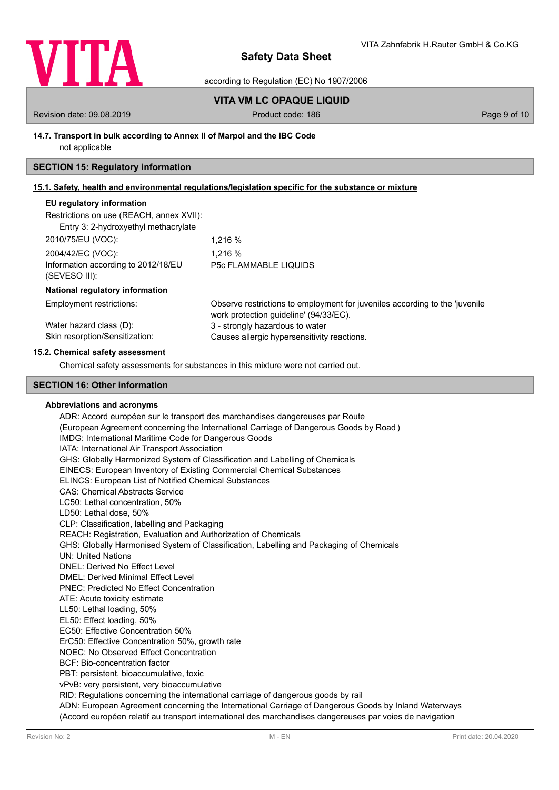

according to Regulation (EC) No 1907/2006

## **VITA VM LC OPAQUE LIQUID**

Revision date: 09.08.2019 **Product code: 186** Page 9 of 10

## **14.7. Transport in bulk according to Annex II of Marpol and the IBC Code**

not applicable

# **SECTION 15: Regulatory information**

# **15.1. Safety, health and environmental regulations/legislation specific for the substance or mixture**

## **EU regulatory information**

| Restrictions on use (REACH, annex XVII): |  |
|------------------------------------------|--|
|------------------------------------------|--|

| Entry 3: 2-hydroxyethyl methacrylate                 |                              |
|------------------------------------------------------|------------------------------|
| 2010/75/EU (VOC):                                    | 1.216 %                      |
| 2004/42/EC (VOC):                                    | 1.216 %                      |
| Information according to 2012/18/EU<br>(SEVESO III): | <b>P5c FLAMMABLE LIQUIDS</b> |

### **National regulatory information**

| Employment restrictions:       | Observe restrictions to employment for juveniles according to the 'juvenile |
|--------------------------------|-----------------------------------------------------------------------------|
|                                | work protection guideline' (94/33/EC).                                      |
| Water hazard class (D):        | 3 - strongly hazardous to water                                             |
| Skin resorption/Sensitization: | Causes allergic hypersensitivity reactions.                                 |

### **15.2. Chemical safety assessment**

Chemical safety assessments for substances in this mixture were not carried out.

## **SECTION 16: Other information**

### **Abbreviations and acronyms**

ADR: Accord européen sur le transport des marchandises dangereuses par Route (European Agreement concerning the International Carriage of Dangerous Goods by Road ) IMDG: International Maritime Code for Dangerous Goods IATA: International Air Transport Association GHS: Globally Harmonized System of Classification and Labelling of Chemicals EINECS: European Inventory of Existing Commercial Chemical Substances ELINCS: European List of Notified Chemical Substances CAS: Chemical Abstracts Service LC50: Lethal concentration, 50% LD50: Lethal dose, 50% CLP: Classification, labelling and Packaging REACH: Registration, Evaluation and Authorization of Chemicals GHS: Globally Harmonised System of Classification, Labelling and Packaging of Chemicals UN: United Nations DNEL: Derived No Effect Level DMEL: Derived Minimal Effect Level PNEC: Predicted No Effect Concentration ATE: Acute toxicity estimate LL50: Lethal loading, 50% EL50: Effect loading, 50% EC50: Effective Concentration 50% ErC50: Effective Concentration 50%, growth rate NOEC: No Observed Effect Concentration BCF: Bio-concentration factor PBT: persistent, bioaccumulative, toxic vPvB: very persistent, very bioaccumulative RID: Regulations concerning the international carriage of dangerous goods by rail ADN: European Agreement concerning the International Carriage of Dangerous Goods by Inland Waterways (Accord européen relatif au transport international des marchandises dangereuses par voies de navigation